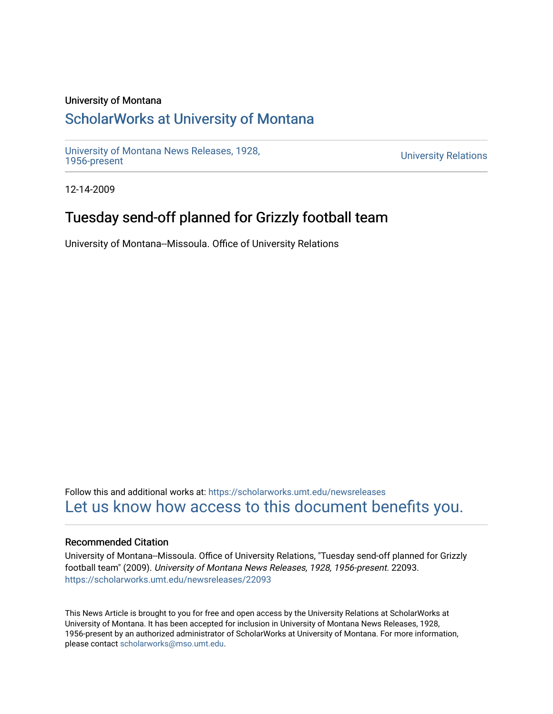## University of Montana

# [ScholarWorks at University of Montana](https://scholarworks.umt.edu/)

[University of Montana News Releases, 1928,](https://scholarworks.umt.edu/newsreleases) 

**University Relations** 

12-14-2009

# Tuesday send-off planned for Grizzly football team

University of Montana--Missoula. Office of University Relations

Follow this and additional works at: [https://scholarworks.umt.edu/newsreleases](https://scholarworks.umt.edu/newsreleases?utm_source=scholarworks.umt.edu%2Fnewsreleases%2F22093&utm_medium=PDF&utm_campaign=PDFCoverPages) [Let us know how access to this document benefits you.](https://goo.gl/forms/s2rGfXOLzz71qgsB2) 

### Recommended Citation

University of Montana--Missoula. Office of University Relations, "Tuesday send-off planned for Grizzly football team" (2009). University of Montana News Releases, 1928, 1956-present. 22093. [https://scholarworks.umt.edu/newsreleases/22093](https://scholarworks.umt.edu/newsreleases/22093?utm_source=scholarworks.umt.edu%2Fnewsreleases%2F22093&utm_medium=PDF&utm_campaign=PDFCoverPages) 

This News Article is brought to you for free and open access by the University Relations at ScholarWorks at University of Montana. It has been accepted for inclusion in University of Montana News Releases, 1928, 1956-present by an authorized administrator of ScholarWorks at University of Montana. For more information, please contact [scholarworks@mso.umt.edu.](mailto:scholarworks@mso.umt.edu)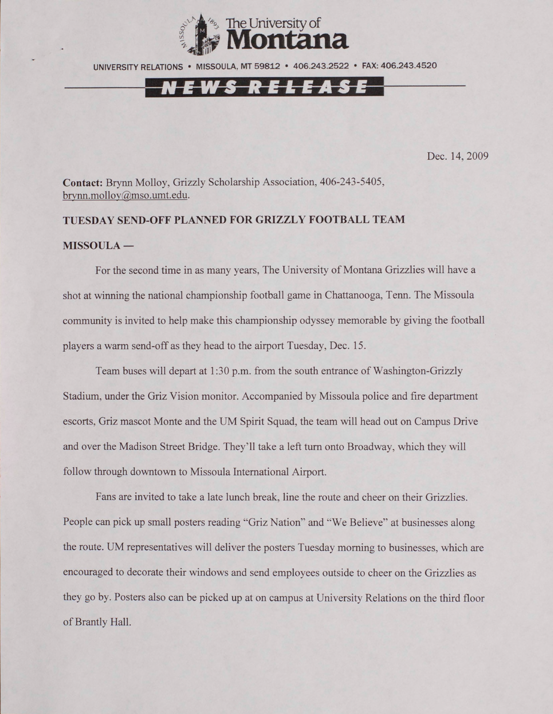

UNIVERSITY RELATIONS • MISSOULA. MT 59812 • 406.243.2522 • FAX: 406.243.4520



Dec. 14, 2009

**Contact:** Brynn Molloy, Grizzly Scholarship Association, 406-243-5405, [brvnn.mollov@mso.umt.edu.](mailto:brvnn.mollov@mso.umt.edu)

## **TUESDAY SEND-OFF PLANNED FOR GRIZZLY FOOTBALL TEAM**

#### **MISSOULA —**

For the second time in as many years, The University of Montana Grizzlies will have a shot at winning the national championship football game in Chattanooga, Tenn. The Missoula community is invited to help make this championship odyssey memorable by giving the football players a warm send-off as they head to the airport Tuesday, Dec. 15.

Team buses will depart at 1:30 p.m. from the south entrance of Washington-Grizzly Stadium, under the Griz Vision monitor. Accompanied by Missoula police and fire department escorts, Griz mascot Monte and the UM Spirit Squad, the team will head out on Campus Drive and over the Madison Street Bridge. They'll take a left turn onto Broadway, which they will follow through downtown to Missoula International Airport.

Fans are invited to take a late lunch break, line the route and cheer on their Grizzlies. People can pick up small posters reading "Griz Nation" and "We Believe" at businesses along the route. UM representatives will deliver the posters Tuesday morning to businesses, which are encouraged to decorate their windows and send employees outside to cheer on the Grizzlies as they go by. Posters also can be picked up at on campus at University Relations on the third floor of Brantly Hall.